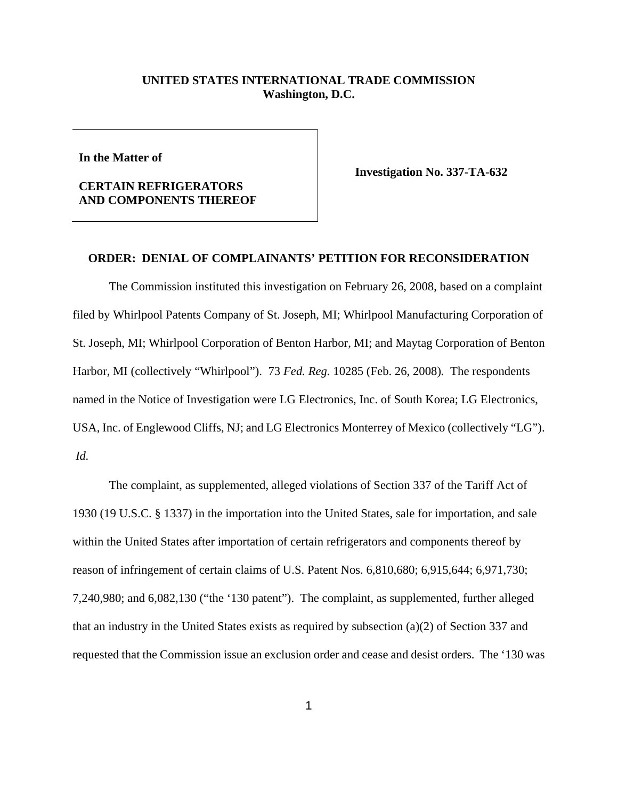## **UNITED STATES INTERNATIONAL TRADE COMMISSION Washington, D.C.**

**In the Matter of** 

## **CERTAIN REFRIGERATORS AND COMPONENTS THEREOF**

**Investigation No. 337-TA-632** 

## **ORDER: DENIAL OF COMPLAINANTS' PETITION FOR RECONSIDERATION**

The Commission instituted this investigation on February 26, 2008, based on a complaint filed by Whirlpool Patents Company of St. Joseph, MI; Whirlpool Manufacturing Corporation of St. Joseph, MI; Whirlpool Corporation of Benton Harbor, MI; and Maytag Corporation of Benton Harbor, MI (collectively "Whirlpool"). 73 *Fed. Reg.* 10285 (Feb. 26, 2008)*.* The respondents named in the Notice of Investigation were LG Electronics, Inc. of South Korea; LG Electronics, USA, Inc. of Englewood Cliffs, NJ; and LG Electronics Monterrey of Mexico (collectively "LG"). *Id.*

The complaint, as supplemented, alleged violations of Section 337 of the Tariff Act of 1930 (19 U.S.C. § 1337) in the importation into the United States, sale for importation, and sale within the United States after importation of certain refrigerators and components thereof by reason of infringement of certain claims of U.S. Patent Nos. 6,810,680; 6,915,644; 6,971,730; 7,240,980; and 6,082,130 ("the '130 patent"). The complaint, as supplemented, further alleged that an industry in the United States exists as required by subsection (a)(2) of Section 337 and requested that the Commission issue an exclusion order and cease and desist orders. The '130 was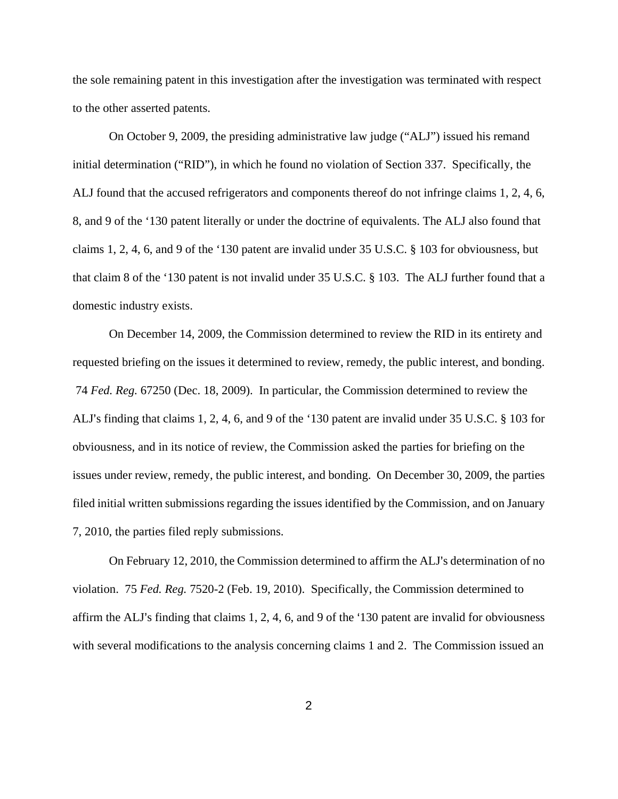the sole remaining patent in this investigation after the investigation was terminated with respect to the other asserted patents.

On October 9, 2009, the presiding administrative law judge ("ALJ") issued his remand initial determination ("RID"), in which he found no violation of Section 337. Specifically, the ALJ found that the accused refrigerators and components thereof do not infringe claims 1, 2, 4, 6, 8, and 9 of the '130 patent literally or under the doctrine of equivalents. The ALJ also found that claims 1, 2, 4, 6, and 9 of the '130 patent are invalid under 35 U.S.C. § 103 for obviousness, but that claim 8 of the '130 patent is not invalid under 35 U.S.C. § 103. The ALJ further found that a domestic industry exists.

On December 14, 2009, the Commission determined to review the RID in its entirety and requested briefing on the issues it determined to review, remedy, the public interest, and bonding. 74 *Fed. Reg.* 67250 (Dec. 18, 2009). In particular, the Commission determined to review the ALJ's finding that claims 1, 2, 4, 6, and 9 of the '130 patent are invalid under 35 U.S.C. § 103 for obviousness, and in its notice of review, the Commission asked the parties for briefing on the issues under review, remedy, the public interest, and bonding. On December 30, 2009, the parties filed initial written submissions regarding the issues identified by the Commission, and on January 7, 2010, the parties filed reply submissions.

On February 12, 2010, the Commission determined to affirm the ALJ's determination of no violation. 75 *Fed. Reg.* 7520-2 (Feb. 19, 2010). Specifically, the Commission determined to affirm the ALJ's finding that claims  $1, 2, 4, 6$ , and 9 of the '130 patent are invalid for obviousness with several modifications to the analysis concerning claims 1 and 2. The Commission issued an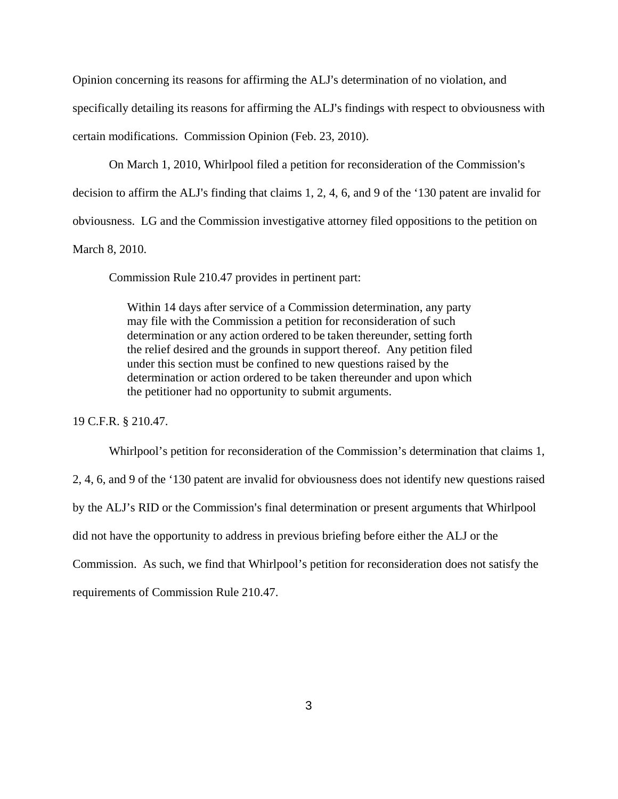Opinion concerning its reasons for affirming the ALJ's determination of no violation, and specifically detailing its reasons for affirming the ALJ's findings with respect to obviousness with certain modifications. Commission Opinion (Feb. 23, 2010).

On March 1, 2010, Whirlpool filed a petition for reconsideration of the Commission's

decision to affirm the ALJ's finding that claims  $1, 2, 4, 6$ , and 9 of the '130 patent are invalid for

obviousness. LG and the Commission investigative attorney filed oppositions to the petition on

March 8, 2010.

Commission Rule 210.47 provides in pertinent part:

Within 14 days after service of a Commission determination, any party may file with the Commission a petition for reconsideration of such determination or any action ordered to be taken thereunder, setting forth the relief desired and the grounds in support thereof. Any petition filed under this section must be confined to new questions raised by the determination or action ordered to be taken thereunder and upon which the petitioner had no opportunity to submit arguments.

19 C.F.R. § 210.47.

Whirlpool's petition for reconsideration of the Commission's determination that claims 1,

2, 4, 6, and 9 of the '130 patent are invalid for obviousness does not identify new questions raised

by the ALJ's RID or the Commission's final determination or present arguments that Whirlpool

did not have the opportunity to address in previous briefing before either the ALJ or the

Commission. As such, we find that Whirlpool's petition for reconsideration does not satisfy the

requirements of Commission Rule 210.47.